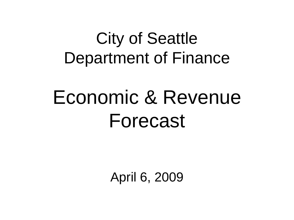## City of Seattle Department of Finance

# Economic & Revenue Forecast

April 6, 2009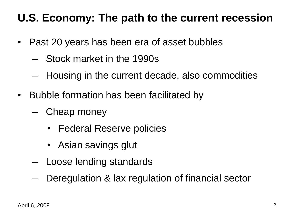#### **U.S. Economy: The path to the current recession**

- Past 20 years has been era of asset bubbles
	- Stock market in the 1990s
	- Housing in the current decade, also commodities
- Bubble formation has been facilitated by
	- Cheap money
		- Federal Reserve policies
		- Asian savings glut
	- Loose lending standards
	- Deregulation & lax regulation of financial sector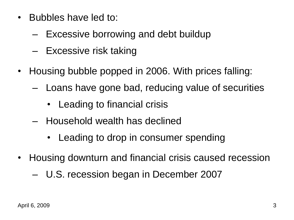- Bubbles have led to:
	- Excessive borrowing and debt buildup
	- Excessive risk taking
- Housing bubble popped in 2006. With prices falling:
	- Loans have gone bad, reducing value of securities
		- Leading to financial crisis
	- Household wealth has declined
		- Leading to drop in consumer spending
- Housing downturn and financial crisis caused recession
	- U.S. recession began in December 2007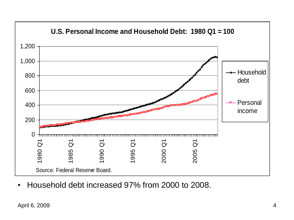

• Household debt increased 97% from 2000 to 2008.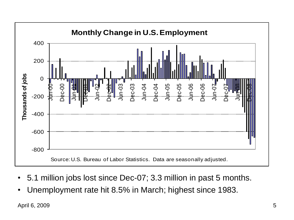

- 5.1 million jobs lost since Dec-07; 3.3 million in past 5 months.
- Unemployment rate hit 8.5% in March; highest since 1983.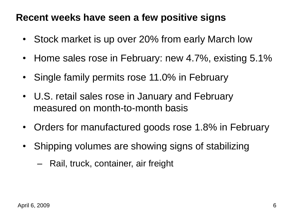#### **Recent weeks have seen a few positive signs**

- Stock market is up over 20% from early March low
- Home sales rose in February: new 4.7%, existing 5.1%
- Single family permits rose 11.0% in February
- U.S. retail sales rose in January and February measured on month-to-month basis
- Orders for manufactured goods rose 1.8% in February
- Shipping volumes are showing signs of stabilizing
	- Rail, truck, container, air freight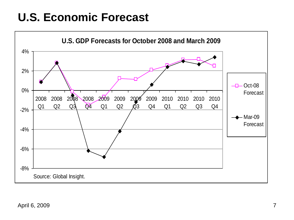### **U.S. Economic Forecast**

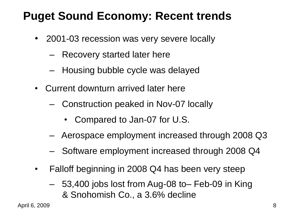## **Puget Sound Economy: Recent trends**

- 2001-03 recession was very severe locally
	- Recovery started later here
	- Housing bubble cycle was delayed
- Current downturn arrived later here
	- Construction peaked in Nov-07 locally
		- Compared to Jan-07 for U.S.
	- Aerospace employment increased through 2008 Q3
	- Software employment increased through 2008 Q4
- Falloff beginning in 2008 Q4 has been very steep
	- 53,400 jobs lost from Aug-08 to– Feb-09 in King & Snohomish Co., a 3.6% decline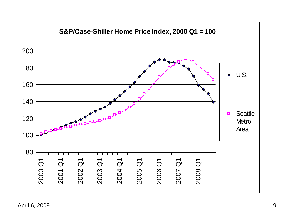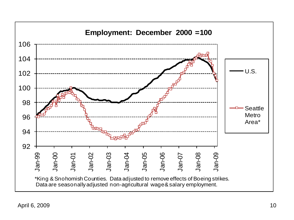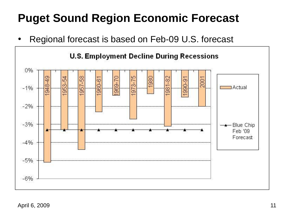## **Puget Sound Region Economic Forecast**

• Regional forecast is based on Feb-09 U.S. forecast



April 6, 2009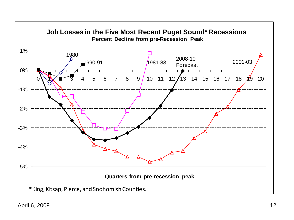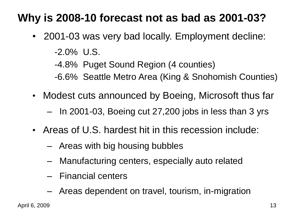### **Why is 2008-10 forecast not as bad as 2001-03?**

- 2001-03 was very bad locally. Employment decline:
	- -2.0% U.S.

-4.8% Puget Sound Region (4 counties)

- -6.6% Seattle Metro Area (King & Snohomish Counties)
- Modest cuts announced by Boeing, Microsoft thus far
	- In 2001-03, Boeing cut 27,200 jobs in less than 3 yrs
- Areas of U.S. hardest hit in this recession include:
	- Areas with big housing bubbles
	- Manufacturing centers, especially auto related
	- Financial centers
	- Areas dependent on travel, tourism, in-migration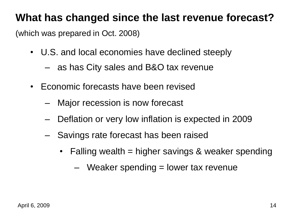#### **What has changed since the last revenue forecast?**

(which was prepared in Oct. 2008)

- U.S. and local economies have declined steeply
	- as has City sales and B&O tax revenue
- Economic forecasts have been revised
	- Major recession is now forecast
	- Deflation or very low inflation is expected in 2009
	- Savings rate forecast has been raised
		- Falling wealth = higher savings & weaker spending
			- $-$  Weaker spending  $=$  lower tax revenue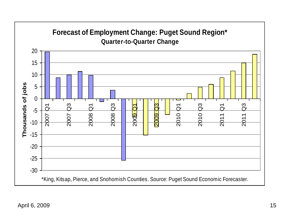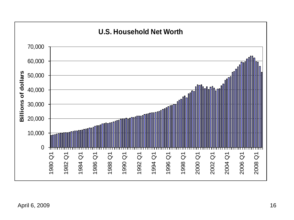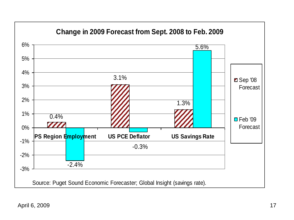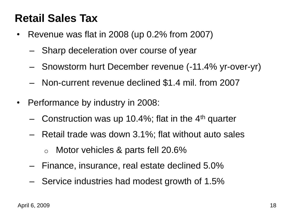#### **Retail Sales Tax**

- Revenue was flat in 2008 (up 0.2% from 2007)
	- Sharp deceleration over course of year
	- Snowstorm hurt December revenue (-11.4% yr-over-yr)
	- Non-current revenue declined \$1.4 mil. from 2007
- Performance by industry in 2008:
	- $-$  Construction was up 10.4%; flat in the 4<sup>th</sup> quarter
	- Retail trade was down 3.1%; flat without auto sales
		- o Motor vehicles & parts fell 20.6%
	- Finance, insurance, real estate declined 5.0%
	- Service industries had modest growth of 1.5%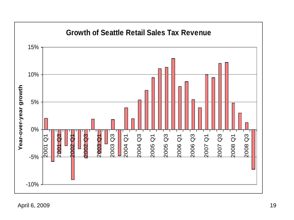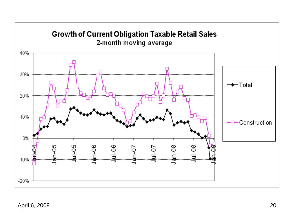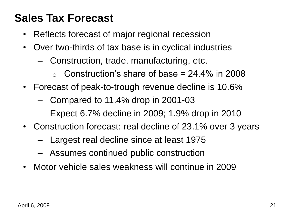#### **Sales Tax Forecast**

- Reflects forecast of major regional recession
- Over two-thirds of tax base is in cyclical industries
	- Construction, trade, manufacturing, etc.
		- $\circ$  Construction's share of base = 24.4% in 2008
- Forecast of peak-to-trough revenue decline is 10.6%
	- Compared to 11.4% drop in 2001-03
	- Expect 6.7% decline in 2009; 1.9% drop in 2010
- Construction forecast: real decline of 23.1% over 3 years
	- Largest real decline since at least 1975
	- Assumes continued public construction
- Motor vehicle sales weakness will continue in 2009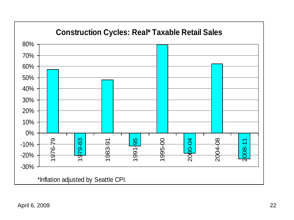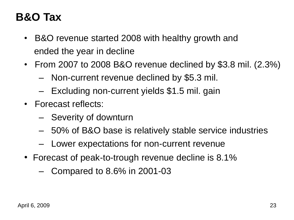## **B&O Tax**

- B&O revenue started 2008 with healthy growth and ended the year in decline
- From 2007 to 2008 B&O revenue declined by \$3.8 mil. (2.3%)
	- Non-current revenue declined by \$5.3 mil.
	- Excluding non-current yields \$1.5 mil. gain
- Forecast reflects:
	- Severity of downturn
	- 50% of B&O base is relatively stable service industries
	- Lower expectations for non-current revenue
- Forecast of peak-to-trough revenue decline is 8.1%
	- Compared to 8.6% in 2001-03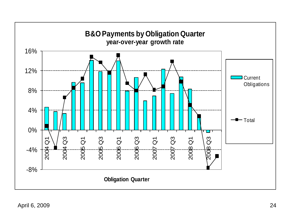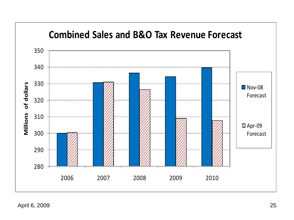

April 6, 2009 25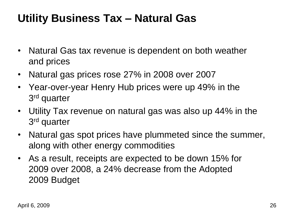#### **Utility Business Tax – Natural Gas**

- Natural Gas tax revenue is dependent on both weather and prices
- Natural gas prices rose 27% in 2008 over 2007
- Year-over-year Henry Hub prices were up 49% in the 3<sup>rd</sup> quarter
- Utility Tax revenue on natural gas was also up 44% in the 3<sup>rd</sup> quarter
- Natural gas spot prices have plummeted since the summer, along with other energy commodities
- As a result, receipts are expected to be down 15% for 2009 over 2008, a 24% decrease from the Adopted 2009 Budget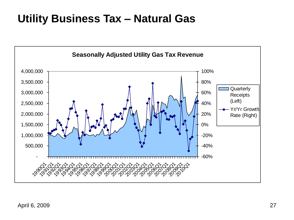#### **Utility Business Tax – Natural Gas**

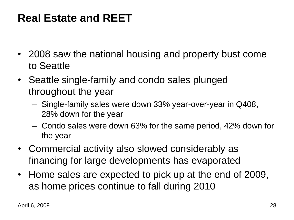- 2008 saw the national housing and property bust come to Seattle
- Seattle single-family and condo sales plunged throughout the year
	- Single-family sales were down 33% year-over-year in Q408, 28% down for the year
	- Condo sales were down 63% for the same period, 42% down for the year
- Commercial activity also slowed considerably as financing for large developments has evaporated
- Home sales are expected to pick up at the end of 2009, as home prices continue to fall during 2010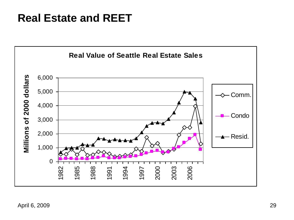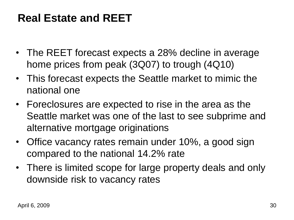- The REET forecast expects a 28% decline in average home prices from peak (3Q07) to trough (4Q10)
- This forecast expects the Seattle market to mimic the national one
- Foreclosures are expected to rise in the area as the Seattle market was one of the last to see subprime and alternative mortgage originations
- Office vacancy rates remain under 10%, a good sign compared to the national 14.2% rate
- There is limited scope for large property deals and only downside risk to vacancy rates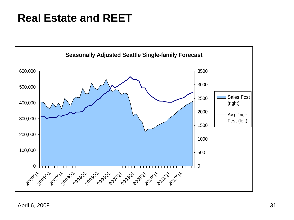

April 6, 2009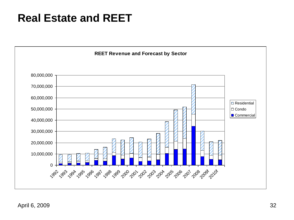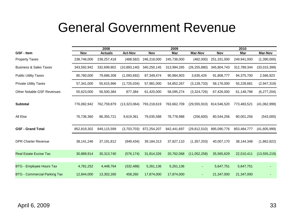## General Government Revenue

|                                     |              | 2008           |                |             | 2009        |                |             | 2010        |                |
|-------------------------------------|--------------|----------------|----------------|-------------|-------------|----------------|-------------|-------------|----------------|
| <b>GSF - Item</b>                   | Nov          | <b>Actuals</b> | <b>Act-Nov</b> | Nov         | Mar         | <b>Mar-Nov</b> | Nov         | Mar         | <b>Mar-Nov</b> |
| <b>Property Taxes</b>               | 238,746,000  | 238,257,418    | (488, 582)     | 246,218,000 | 245,736,000 | (482,000)      | 251,331,000 | 249,941,000 | (1,390,000)    |
| <b>Business &amp; Sales Taxes</b>   | 343,592,942  | 332,699,802    | (10,893,140)   | 340,250,145 | 313,994,265 | (26, 255, 880) | 345,804,743 | 312,789,344 | (33,015,399)   |
| <b>Public Utility Taxes</b>         | 80,780,000   | 79,686,308     | (1,093,692)    | 87,349,474  | 90,984,903  | 3,635,429      | 91,808,777  | 94,375,700  | 2,566,923      |
| <b>Private Utility Taxes</b>        | 57,341,000   | 55,615,966     | (1,725,034)    | 57,981,000  | 54,852,267  | (3, 128, 733)  | 58,176,000  | 55,228,681  | (2,947,319)    |
| <b>Other Notable GSF Revenues</b>   | 55,623,000   | 56,500,384     | 877,384        | 61,420,000  | 58,095,274  | (3,324,726)    | 67,426,000  | 61,148,796  | (6,277,204)    |
| <b>Subtotal</b>                     | 776,082,942  | 762,759,879    | (13, 323, 064) | 793,218,619 | 763,662,709 | (29, 555, 910) | 814,546,520 | 773,483,521 | (41,062,999)   |
| All Else                            | 76,736,360   | 86,355,721     | 9,619,361      | 79,035,588  | 78,778,988  | (256, 600)     | 80,544,256  | 80,001,256  | (543,000)      |
| <b>GSF - Grand Total</b>            | 852,819,302  | 849,115,599    | (3,703,703)    | 872,254,207 | 842,441,697 | (29, 812, 510) | 895,090,776 | 853,484,777 | (41,605,999)   |
| <b>DPR Charter Revenue</b>          | 38, 141, 246 | 37,191,812     | (949, 434)     | 39,184,313  | 37,827,110  | (1,357,203)    | 40,007,170  | 38,144,348  | (1,862,822)    |
| <b>Real Estate Excise Tax</b>       | 30,889,914   | 30,313,740     | (576, 174)     | 31,814,326  | 20,762,068  | (11,052,258)   | 35,565,629  | 22,010,411  | (13, 555, 219) |
|                                     |              |                |                |             |             |                |             |             |                |
| <b>BTG - Employee Hours Tax</b>     | 4,781,252    | 4,448,764      | (332, 488)     | 5,261,136   | 5,261,136   | ٠              | 5,647,751   | 5,647,751   |                |
| <b>BTG - Commercial Parking Tax</b> | 12,844,000   | 13,302,260     | 458,260        | 17,874,000  | 17,874,000  | ٠              | 21,347,000  | 21,347,000  |                |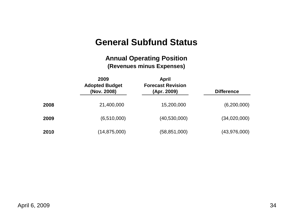#### **General Subfund Status**

#### **Annual Operating Position (Revenues minus Expenses)**

|               | 2009<br><b>Adopted Budget</b><br>(Nov. 2008) | <b>April</b><br><b>Forecast Revision</b><br>(Apr. 2009) | <b>Difference</b> |    |
|---------------|----------------------------------------------|---------------------------------------------------------|-------------------|----|
| 2008          | 21,400,000                                   | 15,200,000                                              | (6,200,000)       |    |
| 2009          | (6,510,000)                                  | (40, 530, 000)                                          | (34,020,000)      |    |
| 2010          | (14, 875, 000)                               | (58, 851, 000)                                          | (43,976,000)      |    |
|               |                                              |                                                         |                   |    |
|               |                                              |                                                         |                   |    |
|               |                                              |                                                         |                   |    |
|               |                                              |                                                         |                   |    |
| April 6, 2009 |                                              |                                                         |                   | 34 |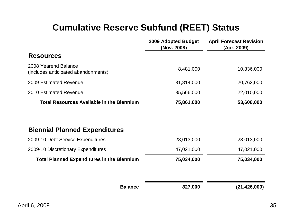#### **Cumulative Reserve Subfund (REET) Status**

|                                                             | <b>2009 Adopted Budget</b><br>(Nov. 2008) | <b>April Forecast Revision</b><br>(Apr. 2009) |
|-------------------------------------------------------------|-------------------------------------------|-----------------------------------------------|
| <b>Resources</b>                                            |                                           |                                               |
| 2008 Yearend Balance<br>(includes anticipated abandonments) | 8,481,000                                 | 10,836,000                                    |
| 2009 Estimated Revenue                                      | 31,814,000                                | 20,762,000                                    |
| 2010 Estimated Revenue                                      | 35,566,000                                | 22,010,000                                    |
| <b>Total Resources Available in the Biennium</b>            | 75,861,000                                | 53,608,000                                    |
| <b>Biennial Planned Expenditures</b>                        |                                           |                                               |
| 2009-10 Debt Service Expenditures                           | 28,013,000                                | 28,013,000                                    |
| 2009-10 Discretionary Expenditures                          | 47,021,000                                | 47,021,000                                    |
| <b>Total Planned Expenditures in the Biennium</b>           | 75,034,000                                | 75,034,000                                    |
| <b>Balance</b>                                              | 827,000                                   | (21,426,000)                                  |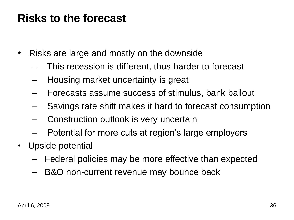#### **Risks to the forecast**

- Risks are large and mostly on the downside
	- This recession is different, thus harder to forecast
	- Housing market uncertainty is great
	- Forecasts assume success of stimulus, bank bailout
	- Savings rate shift makes it hard to forecast consumption
	- Construction outlook is very uncertain
	- Potential for more cuts at region's large employers
- Upside potential
	- Federal policies may be more effective than expected
	- B&O non-current revenue may bounce back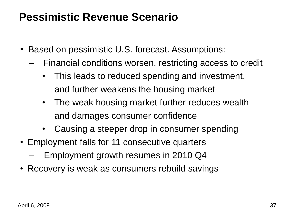#### **Pessimistic Revenue Scenario**

- Based on pessimistic U.S. forecast. Assumptions:
	- Financial conditions worsen, restricting access to credit
		- This leads to reduced spending and investment, and further weakens the housing market
		- The weak housing market further reduces wealth and damages consumer confidence
		- Causing a steeper drop in consumer spending
- Employment falls for 11 consecutive quarters
	- Employment growth resumes in 2010 Q4
- Recovery is weak as consumers rebuild savings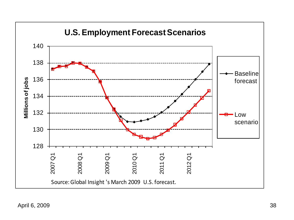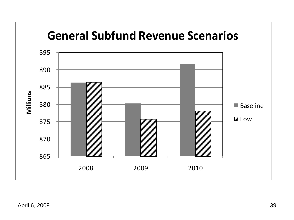